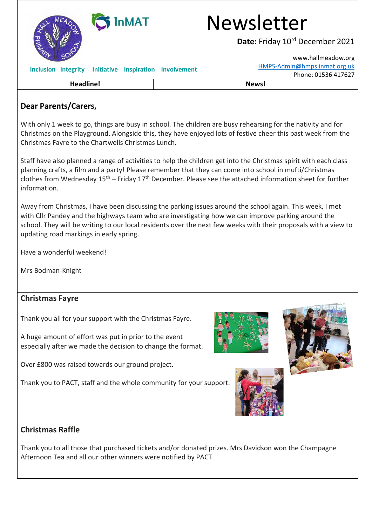

## **Dear Parents/Carers,**

With only 1 week to go, things are busy in school. The children are busy rehearsing for the nativity and for Christmas on the Playground. Alongside this, they have enjoyed lots of festive cheer this past week from the Christmas Fayre to the Chartwells Christmas Lunch.

Staff have also planned a range of activities to help the children get into the Christmas spirit with each class planning crafts, a film and a party! Please remember that they can come into school in mufti/Christmas clothes from Wednesday  $15<sup>th</sup>$  – Friday  $17<sup>th</sup>$  December. Please see the attached information sheet for further information.

Away from Christmas, I have been discussing the parking issues around the school again. This week, I met with Cllr Pandey and the highways team who are investigating how we can improve parking around the school. They will be writing to our local residents over the next few weeks with their proposals with a view to updating road markings in early spring.

Have a wonderful weekend!

Mrs Bodman-Knight

## **Christmas Fayre**

Thank you all for your support with the Christmas Fayre.

A huge amount of effort was put in prior to the event especially after we made the decision to change the format.

Over £800 was raised towards our ground project.

Thank you to PACT, staff and the whole community for your support.







## **Christmas Raffle**

Thank you to all those that purchased tickets and/or donated prizes. Mrs Davidson won the Champagne Afternoon Tea and all our other winners were notified by PACT.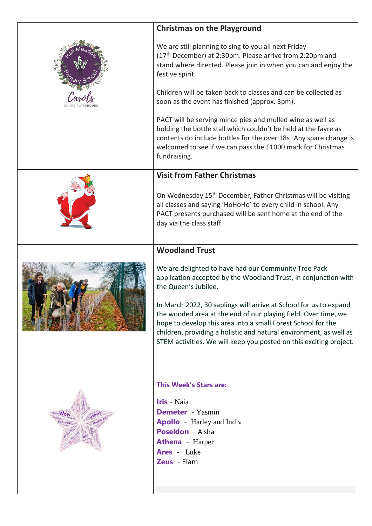| <b>Christmas on the Playground</b>                                                                                                                                                                                                                                                                                                              |
|-------------------------------------------------------------------------------------------------------------------------------------------------------------------------------------------------------------------------------------------------------------------------------------------------------------------------------------------------|
| We are still planning to sing to you all next Friday<br>(17 <sup>th</sup> December) at 2:30pm. Please arrive from 2:20pm and<br>stand where directed. Please join in when you can and enjoy the<br>festive spirit.                                                                                                                              |
| Children will be taken back to classes and can be collected as<br>soon as the event has finished (approx. 3pm).                                                                                                                                                                                                                                 |
| PACT will be serving mince pies and mulled wine as well as<br>holding the bottle stall which couldn't be held at the fayre as<br>contents do include bottles for the over 18s! Any spare change is<br>welcomed to see if we can pass the £1000 mark for Christmas<br>fundraising.                                                               |
| <b>Visit from Father Christmas</b>                                                                                                                                                                                                                                                                                                              |
| On Wednesday 15 <sup>th</sup> December, Father Christmas will be visiting<br>all classes and saying 'HoHoHo' to every child in school. Any<br>PACT presents purchased will be sent home at the end of the<br>day via the class staff.                                                                                                           |
| <b>Woodland Trust</b>                                                                                                                                                                                                                                                                                                                           |
| We are delighted to have had our Community Tree Pack<br>application accepted by the Woodland Trust, in conjunction with<br>the Queen's Jubilee.                                                                                                                                                                                                 |
| In March 2022, 30 saplings will arrive at School for us to expand<br>the wooded area at the end of our playing field. Over time, we<br>hope to develop this area into a small Forest School for the<br>children, providing a holistic and natural environment, as well as<br>STEM activities. We will keep you posted on this exciting project. |
|                                                                                                                                                                                                                                                                                                                                                 |
| <b>This Week's Stars are:</b><br><b>Iris</b> - Naia<br><b>Demeter</b> Yasmin<br><b>Apollo</b> Harley and Indiv<br><b>Poseidon</b> - Aisha<br><b>Athena</b> - Harper<br><b>Ares</b> - Luke<br>Zeus - Elam                                                                                                                                        |
|                                                                                                                                                                                                                                                                                                                                                 |